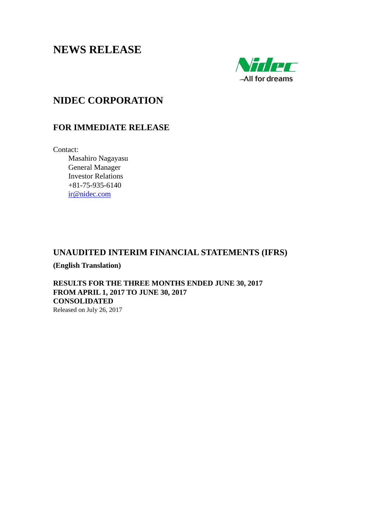# **NEWS RELEASE**



# **NIDEC CORPORATION**

## **FOR IMMEDIATE RELEASE**

Contact:

 Masahiro Nagayasu General Manager Investor Relations +81-75-935-6140 ir@nidec.com

## **UNAUDITED INTERIM FINANCIAL STATEMENTS (IFRS)**

**(English Translation)** 

**RESULTS FOR THE THREE MONTHS ENDED JUNE 30, 2017 FROM APRIL 1, 2017 TO JUNE 30, 2017 CONSOLIDATED**  Released on July 26, 2017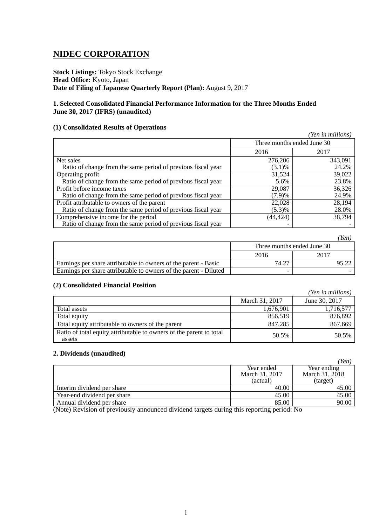# **NIDEC CORPORATION**

**Stock Listings:** Tokyo Stock Exchange **Head Office:** Kyoto, Japan **Date of Filing of Japanese Quarterly Report (Plan):** August 9, 2017

## **1. Selected Consolidated Financial Performance Information for the Three Months Ended June 30, 2017 (IFRS) (unaudited)**

## **(1) Consolidated Results of Operations**

|                                                              |           | (Yen in millions)          |
|--------------------------------------------------------------|-----------|----------------------------|
|                                                              |           | Three months ended June 30 |
|                                                              | 2016      | 2017                       |
| Net sales                                                    | 276,206   | 343,091                    |
| Ratio of change from the same period of previous fiscal year | $(3.1)\%$ | 24.2%                      |
| Operating profit                                             | 31,524    | 39,022                     |
| Ratio of change from the same period of previous fiscal year | 5.6%      | 23.8%                      |
| Profit before income taxes                                   | 29,087    | 36,326                     |
| Ratio of change from the same period of previous fiscal year | (7.9)%    | 24.9%                      |
| Profit attributable to owners of the parent                  | 22,028    | 28,194                     |
| Ratio of change from the same period of previous fiscal year | (5.3)%    | 28.0%                      |
| Comprehensive income for the period                          | (44, 424) | 38,794                     |
| Ratio of change from the same period of previous fiscal year |           |                            |

|                                                                   |       | Yen                        |
|-------------------------------------------------------------------|-------|----------------------------|
|                                                                   |       | Three months ended June 30 |
|                                                                   | 2016  | 2017                       |
| Earnings per share attributable to owners of the parent - Basic   | 74.27 |                            |
| Earnings per share attributable to owners of the parent - Diluted |       |                            |

## **(2) Consolidated Financial Position**

|                                                                               |                | (Yen in millions) |
|-------------------------------------------------------------------------------|----------------|-------------------|
|                                                                               | March 31, 2017 | June 30, 2017     |
| Total assets                                                                  | 1,676,901      | 1,716,577         |
| Total equity                                                                  | 856,519        | 876,892           |
| Total equity attributable to owners of the parent                             | 847,285        | 867,669           |
| Ratio of total equity attributable to owners of the parent to total<br>assets | 50.5%          | 50.5%             |

## **2. Dividends (unaudited)**

|                | ren            |
|----------------|----------------|
| Year ended     | Year ending    |
| March 31, 2017 | March 31, 2018 |
| (actual)       | (target)       |
| 40.00          | 45.00          |
| 45.00          | 45.00          |
| 85.00          | 90.00          |
|                |                |

*(Yen)* 

(Note) Revision of previously announced dividend targets during this reporting period: No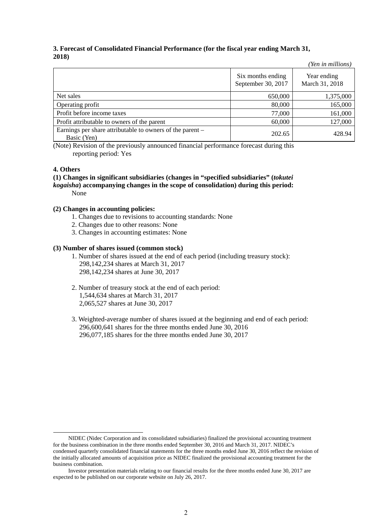## **3. Forecast of Consolidated Financial Performance (for the fiscal year ending March 31, 2018)**

|                                                                          |                                         | (Yen in millions)             |
|--------------------------------------------------------------------------|-----------------------------------------|-------------------------------|
|                                                                          | Six months ending<br>September 30, 2017 | Year ending<br>March 31, 2018 |
| Net sales                                                                | 650,000                                 | 1,375,000                     |
| Operating profit                                                         | 80,000                                  | 165,000                       |
| Profit before income taxes                                               | 77,000                                  | 161,000                       |
| Profit attributable to owners of the parent                              | 60,000                                  | 127,000                       |
| Earnings per share attributable to owners of the parent –<br>Basic (Yen) | 202.65                                  | 428.94                        |

(Note) Revision of the previously announced financial performance forecast during this reporting period: Yes

### **4. Others**

**(1) Changes in significant subsidiaries (changes in "specified subsidiaries" (***tokutei kogaisha***) accompanying changes in the scope of consolidation) during this period:** None

### **(2) Changes in accounting policies:**

- 1. Changes due to revisions to accounting standards: None
- 2. Changes due to other reasons: None
- 3. Changes in accounting estimates: None

### **(3) Number of shares issued (common stock)**

- 1. Number of shares issued at the end of each period (including treasury stock): 298,142,234 shares at March 31, 2017 298,142,234 shares at June 30, 2017
- 2. Number of treasury stock at the end of each period: 1,544,634 shares at March 31, 2017 2,065,527 shares at June 30, 2017
- 3. Weighted-average number of shares issued at the beginning and end of each period: 296,600,641 shares for the three months ended June 30, 2016 296,077,185 shares for the three months ended June 30, 2017

NIDEC (Nidec Corporation and its consolidated subsidiaries) finalized the provisional accounting treatment for the business combination in the three months ended September 30, 2016 and March 31, 2017. NIDEC's condensed quarterly consolidated financial statements for the three months ended June 30, 2016 reflect the revision of the initially allocated amounts of acquisition price as NIDEC finalized the provisional accounting treatment for the business combination.

Investor presentation materials relating to our financial results for the three months ended June 30, 2017 are expected to be published on our corporate website on July 26, 2017.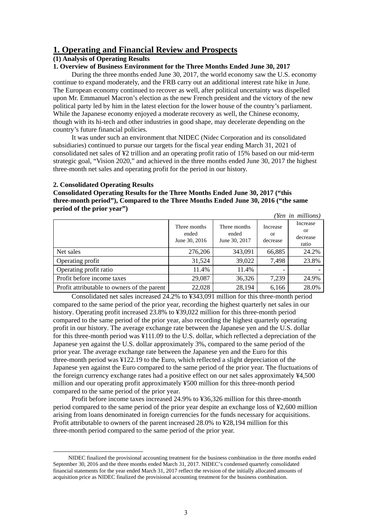## **1. Operating and Financial Review and Prospects**

## **(1) Analysis of Operating Results**

## **1. Overview of Business Environment for the Three Months Ended June 30, 2017**

During the three months ended June 30, 2017, the world economy saw the U.S. economy continue to expand moderately, and the FRB carry out an additional interest rate hike in June. The European economy continued to recover as well, after political uncertainty was dispelled upon Mr. Emmanuel Macron's election as the new French president and the victory of the new political party led by him in the latest election for the lower house of the country's parliament. While the Japanese economy enjoyed a moderate recovery as well, the Chinese economy, though with its hi-tech and other industries in good shape, may decelerate depending on the country's future financial policies.

It was under such an environment that NIDEC (Nidec Corporation and its consolidated subsidiaries) continued to pursue our targets for the fiscal year ending March 31, 2021 of consolidated net sales of ¥2 trillion and an operating profit ratio of 15% based on our mid-term strategic goal, "Vision 2020," and achieved in the three months ended June 30, 2017 the highest three-month net sales and operating profit for the period in our history.

#### **2. Consolidated Operating Results**

**Consolidated Operating Results for the Three Months Ended June 30, 2017 ("this three-month period"), Compared to the Three Months Ended June 30, 2016 ("the same period of the prior year")**

|                                             |                                        |                                        |                            | (Yen in millions)                          |
|---------------------------------------------|----------------------------------------|----------------------------------------|----------------------------|--------------------------------------------|
|                                             | Three months<br>ended<br>June 30, 2016 | Three months<br>ended<br>June 30, 2017 | Increase<br>or<br>decrease | Increase<br><b>or</b><br>decrease<br>ratio |
| Net sales                                   | 276,206                                | 343,091                                | 66,885                     | 24.2%                                      |
| Operating profit                            | 31,524                                 | 39,022                                 | 7,498                      | 23.8%                                      |
| Operating profit ratio                      | 11.4%                                  | 11.4%                                  |                            |                                            |
| Profit before income taxes                  | 29,087                                 | 36,326                                 | 7,239                      | 24.9%                                      |
| Profit attributable to owners of the parent | 22,028                                 | 28,194                                 | 6,166                      | 28.0%                                      |

Consolidated net sales increased 24.2% to ¥343,091 million for this three-month period compared to the same period of the prior year, recording the highest quarterly net sales in our history. Operating profit increased 23.8% to ¥39,022 million for this three-month period compared to the same period of the prior year, also recording the highest quarterly operating profit in our history. The average exchange rate between the Japanese yen and the U.S. dollar for this three-month period was ¥111.09 to the U.S. dollar, which reflected a depreciation of the Japanese yen against the U.S. dollar approximately 3%, compared to the same period of the prior year. The average exchange rate between the Japanese yen and the Euro for this three-month period was ¥122.19 to the Euro, which reflected a slight depreciation of the Japanese yen against the Euro compared to the same period of the prior year. The fluctuations of the foreign currency exchange rates had a positive effect on our net sales approximately ¥4,500 million and our operating profit approximately ¥500 million for this three-month period compared to the same period of the prior year.

Profit before income taxes increased 24.9% to ¥36,326 million for this three-month period compared to the same period of the prior year despite an exchange loss of ¥2,600 million arising from loans denominated in foreign currencies for the funds necessary for acquisitions. Profit attributable to owners of the parent increased 28.0% to ¥28,194 million for this three-month period compared to the same period of the prior year.

NIDEC finalized the provisional accounting treatment for the business combination in the three months ended September 30, 2016 and the three months ended March 31, 2017. NIDEC's condensed quarterly consolidated financial statements for the year ended March 31, 2017 reflect the revision of the initially allocated amounts of acquisition price as NIDEC finalized the provisional accounting treatment for the business combination.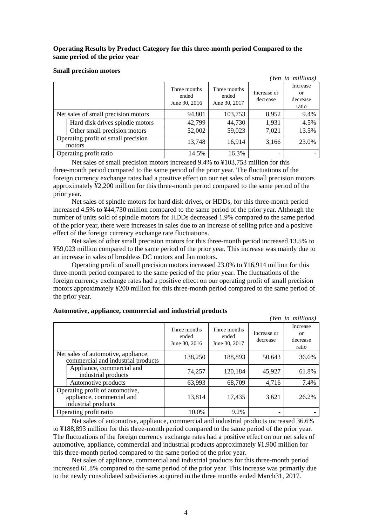## **Operating Results by Product Category for this three-month period Compared to the same period of the prior year**

#### **Small precision motors**

|                                               |                                        |                                        |                         | (Yen in millions)                              |
|-----------------------------------------------|----------------------------------------|----------------------------------------|-------------------------|------------------------------------------------|
|                                               | Three months<br>ended<br>June 30, 2016 | Three months<br>ended<br>June 30, 2017 | Increase or<br>decrease | Increase<br><sub>or</sub><br>decrease<br>ratio |
| Net sales of small precision motors           | 94,801                                 | 103,753                                | 8,952                   | 9.4%                                           |
| Hard disk drives spindle motors               | 42,799                                 | 44,730                                 | 1,931                   | 4.5%                                           |
| Other small precision motors                  | 52,002                                 | 59,023                                 | 7,021                   | 13.5%                                          |
| Operating profit of small precision<br>motors | 13,748                                 | 16,914                                 | 3,166                   | 23.0%                                          |
| Operating profit ratio                        | 14.5%                                  | 16.3%                                  |                         |                                                |

Net sales of small precision motors increased 9.4% to ¥103,753 million for this three-month period compared to the same period of the prior year. The fluctuations of the foreign currency exchange rates had a positive effect on our net sales of small precision motors approximately ¥2,200 million for this three-month period compared to the same period of the prior year.

Net sales of spindle motors for hard disk drives, or HDDs, for this three-month period increased 4.5% to ¥44,730 million compared to the same period of the prior year. Although the number of units sold of spindle motors for HDDs decreased 1.9% compared to the same period of the prior year, there were increases in sales due to an increase of selling price and a positive effect of the foreign currency exchange rate fluctuations.

Net sales of other small precision motors for this three-month period increased 13.5% to ¥59,023 million compared to the same period of the prior year. This increase was mainly due to an increase in sales of brushless DC motors and fan motors.

Operating profit of small precision motors increased 23.0% to ¥16,914 million for this three-month period compared to the same period of the prior year. The fluctuations of the foreign currency exchange rates had a positive effect on our operating profit of small precision motors approximately ¥200 million for this three-month period compared to the same period of the prior year.

|                                                                                     |                                        |                                        |                         | (Yen in millions)                              |
|-------------------------------------------------------------------------------------|----------------------------------------|----------------------------------------|-------------------------|------------------------------------------------|
|                                                                                     | Three months<br>ended<br>June 30, 2016 | Three months<br>ended<br>June 30, 2017 | Increase or<br>decrease | Increase<br><sub>or</sub><br>decrease<br>ratio |
| Net sales of automotive, appliance,<br>commercial and industrial products           | 138,250                                | 188,893                                | 50,643                  | 36.6%                                          |
| Appliance, commercial and<br>industrial products                                    | 74,257                                 | 120,184                                | 45,927                  | 61.8%                                          |
| Automotive products                                                                 | 63,993                                 | 68,709                                 | 4,716                   | 7.4%                                           |
| Operating profit of automotive,<br>appliance, commercial and<br>industrial products | 13,814                                 | 17,435                                 | 3,621                   | 26.2%                                          |
| Operating profit ratio                                                              | 10.0%                                  | 9.2%                                   |                         |                                                |

## **Automotive, appliance, commercial and industrial products**

Net sales of automotive, appliance, commercial and industrial products increased 36.6% to ¥188,893 million for this three-month period compared to the same period of the prior year. The fluctuations of the foreign currency exchange rates had a positive effect on our net sales of automotive, appliance, commercial and industrial products approximately ¥1,900 million for this three-month period compared to the same period of the prior year.

Net sales of appliance, commercial and industrial products for this three-month period increased 61.8% compared to the same period of the prior year. This increase was primarily due to the newly consolidated subsidiaries acquired in the three months ended March31, 2017.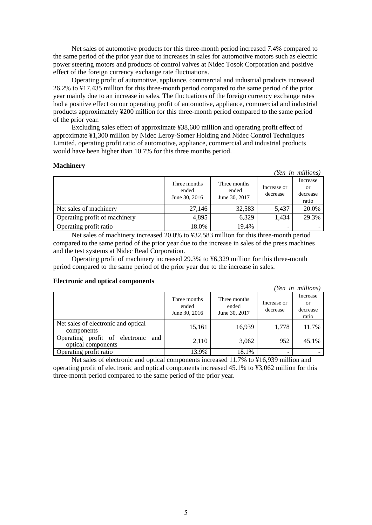Net sales of automotive products for this three-month period increased 7.4% compared to the same period of the prior year due to increases in sales for automotive motors such as electric power steering motors and products of control valves at Nidec Tosok Corporation and positive effect of the foreign currency exchange rate fluctuations.

Operating profit of automotive, appliance, commercial and industrial products increased 26.2% to ¥17,435 million for this three-month period compared to the same period of the prior year mainly due to an increase in sales. The fluctuations of the foreign currency exchange rates had a positive effect on our operating profit of automotive, appliance, commercial and industrial products approximately ¥200 million for this three-month period compared to the same period of the prior year.

Excluding sales effect of approximate ¥38,600 million and operating profit effect of approximate ¥1,300 million by Nidec Leroy-Somer Holding and Nidec Control Techniques Limited, operating profit ratio of automotive, appliance, commercial and industrial products would have been higher than 10.7% for this three months period.

### **Machinery**

|                               |                                        |                                        |                         | (Yen in millions)                   |
|-------------------------------|----------------------------------------|----------------------------------------|-------------------------|-------------------------------------|
|                               | Three months<br>ended<br>June 30, 2016 | Three months<br>ended<br>June 30, 2017 | Increase or<br>decrease | Increase<br>or<br>decrease<br>ratio |
| Net sales of machinery        | 27,146                                 | 32,583                                 | 5.437                   | 20.0%                               |
| Operating profit of machinery | 4,895                                  | 6,329                                  | 1.434                   | 29.3%                               |
| Operating profit ratio        | 18.0%                                  | 19.4%                                  |                         |                                     |

Net sales of machinery increased 20.0% to ¥32,583 million for this three-month period compared to the same period of the prior year due to the increase in sales of the press machines and the test systems at Nidec Read Corporation.

Operating profit of machinery increased 29.3% to ¥6,329 million for this three-month period compared to the same period of the prior year due to the increase in sales.

#### **Electronic and optical components**

|                                                                |                                        |                                        |                         | (Yen in millions)                   |
|----------------------------------------------------------------|----------------------------------------|----------------------------------------|-------------------------|-------------------------------------|
|                                                                | Three months<br>ended<br>June 30, 2016 | Three months<br>ended<br>June 30, 2017 | Increase or<br>decrease | Increase<br>or<br>decrease<br>ratio |
| Net sales of electronic and optical<br>components              | 15,161                                 | 16,939                                 | 1,778                   | 11.7%                               |
| profit of electronic<br>Operating<br>and<br>optical components | 2,110                                  | 3,062                                  | 952                     | 45.1%                               |
| Operating profit ratio                                         | 13.9%                                  | 18.1%                                  |                         |                                     |

Net sales of electronic and optical components increased 11.7% to ¥16,939 million and operating profit of electronic and optical components increased 45.1% to ¥3,062 million for this three-month period compared to the same period of the prior year.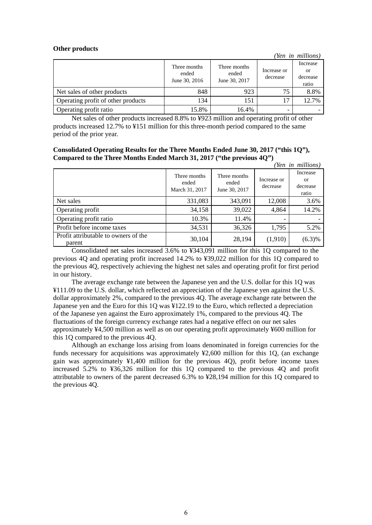#### **Other products**

|                                    |                                        |                                        |                         | (Yen in millions)                   |
|------------------------------------|----------------------------------------|----------------------------------------|-------------------------|-------------------------------------|
|                                    | Three months<br>ended<br>June 30, 2016 | Three months<br>ended<br>June 30, 2017 | Increase or<br>decrease | Increase<br>or<br>decrease<br>ratio |
| Net sales of other products        | 848                                    | 923                                    | 75                      | 8.8%                                |
| Operating profit of other products | 134                                    | 151                                    | 17                      | 12.7%                               |
| Operating profit ratio             | 15.8%                                  | 16.4%                                  |                         |                                     |

Net sales of other products increased 8.8% to ¥923 million and operating profit of other products increased 12.7% to ¥151 million for this three-month period compared to the same period of the prior year.

## **Consolidated Operating Results for the Three Months Ended June 30, 2017 ("this 1Q"), Compared to the Three Months Ended March 31, 2017 ("the previous 4Q")**

|                                                |                                         |                                        |                         | (Yen in millions)                          |
|------------------------------------------------|-----------------------------------------|----------------------------------------|-------------------------|--------------------------------------------|
|                                                | Three months<br>ended<br>March 31, 2017 | Three months<br>ended<br>June 30, 2017 | Increase or<br>decrease | Increase<br><b>or</b><br>decrease<br>ratio |
| Net sales                                      | 331,083                                 | 343,091                                | 12,008                  | 3.6%                                       |
| Operating profit                               | 34,158                                  | 39,022                                 | 4,864                   | 14.2%                                      |
| Operating profit ratio                         | 10.3%                                   | 11.4%                                  |                         |                                            |
| Profit before income taxes                     | 34,531                                  | 36,326                                 | 1,795                   | 5.2%                                       |
| Profit attributable to owners of the<br>parent | 30,104                                  | 28,194                                 | (1,910)                 | (6.3)%                                     |

Consolidated net sales increased 3.6% to ¥343,091 million for this 1Q compared to the previous 4Q and operating profit increased 14.2% to ¥39,022 million for this 1Q compared to the previous 4Q, respectively achieving the highest net sales and operating profit for first period in our history.

The average exchange rate between the Japanese yen and the U.S. dollar for this 1Q was ¥111.09 to the U.S. dollar, which reflected an appreciation of the Japanese yen against the U.S. dollar approximately 2%, compared to the previous 4Q. The average exchange rate between the Japanese yen and the Euro for this 1Q was ¥122.19 to the Euro, which reflected a depreciation of the Japanese yen against the Euro approximately 1%, compared to the previous 4Q. The fluctuations of the foreign currency exchange rates had a negative effect on our net sales approximately ¥4,500 million as well as on our operating profit approximately ¥600 million for this 1Q compared to the previous 4Q.

Although an exchange loss arising from loans denominated in foreign currencies for the funds necessary for acquisitions was approximately ¥2,600 million for this 1Q, (an exchange gain was approximately ¥1,400 million for the previous 4Q), profit before income taxes increased 5.2% to ¥36,326 million for this 1Q compared to the previous 4Q and profit attributable to owners of the parent decreased 6.3% to ¥28,194 million for this 1Q compared to the previous 4Q.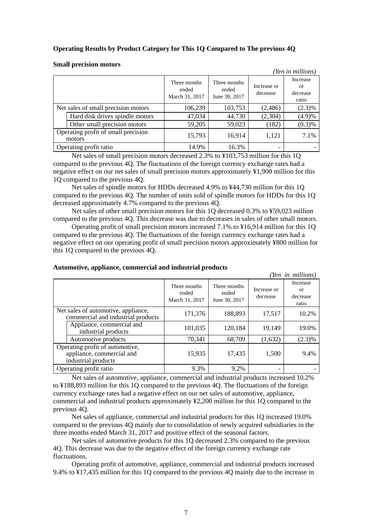## **Operating Results by Product Category for This 1Q Compared to The previous 4Q**

#### *(Yen in millions)*  Three months ended March 31, 2017 Three months ended June 30, 2017 Increase or decrease Increase or decrease ratio Net sales of small precision motors  $106,239$   $103,753$   $(2,486)$   $(2,3)\%$ Hard disk drives spindle motors  $\begin{vmatrix} 47,034 & 44,730 & 2,304 \end{vmatrix}$  (4.9)% Other small precision motors  $59,205$   $59,023$   $(182)$   $(0.3)\%$ Operating profit of small precision motors  $\begin{array}{c|c|c|c|c|c|c|c|c} \hline \text{motors} & & & 15,793 & & 16,914 & 1,121 & 7.1\% \ \hline \end{array}$ Operating profit ratio 14.9% 16.3%

#### **Small precision motors**

Net sales of small precision motors decreased 2.3% to ¥103,753 million for this 1Q compared to the previous 4Q. The fluctuations of the foreign currency exchange rates had a negative effect on our net sales of small precision motors approximately ¥1,900 million for this 1Q compared to the previous 4Q.

Net sales of spindle motors for HDDs decreased 4.9% to ¥44,730 million for this 1Q compared to the previous 4Q. The number of units sold of spindle motors for HDDs for this 1Q decreased approximately 4.7% compared to the previous 4Q.

Net sales of other small precision motors for this 1Q decreased 0.3% to ¥59,023 million compared to the previous 4Q. This decrease was due to decreases in sales of other small motors.

Operating profit of small precision motors increased 7.1% to ¥16,914 million for this 1Q compared to the previous 4Q. The fluctuations of the foreign currency exchange rates had a negative effect on our operating profit of small precision motors approximately ¥800 million for this 1Q compared to the previous 4Q.

|                                                                                     |                                         |                                        |                         | (Yen in millions)                              |
|-------------------------------------------------------------------------------------|-----------------------------------------|----------------------------------------|-------------------------|------------------------------------------------|
|                                                                                     | Three months<br>ended<br>March 31, 2017 | Three months<br>ended<br>June 30, 2017 | Increase or<br>decrease | Increase<br><sub>or</sub><br>decrease<br>ratio |
| Net sales of automotive, appliance,<br>commercial and industrial products           | 171,376                                 | 188,893                                | 17,517                  | 10.2%                                          |
| Appliance, commercial and<br>industrial products                                    | 101,035                                 | 120,184                                | 19,149                  | 19.0%                                          |
| Automotive products                                                                 | 70,341                                  | 68,709                                 | (1,632)                 | $(2.3)\%$                                      |
| Operating profit of automotive,<br>appliance, commercial and<br>industrial products | 15,935                                  | 17,435                                 | 1,500                   | 9.4%                                           |
| Operating profit ratio                                                              | 9.3%                                    | 9.2%                                   | ۰                       |                                                |

#### **Automotive, appliance, commercial and industrial products**

Net sales of automotive, appliance, commercial and industrial products increased 10.2% to ¥188,893 million for this 1Q compared to the previous 4Q. The fluctuations of the foreign currency exchange rates had a negative effect on our net sales of automotive, appliance, commercial and industrial products approximately ¥2,200 million for this 1Q compared to the previous 4Q.

Net sales of appliance, commercial and industrial products for this 1Q increased 19.0% compared to the previous 4Q mainly due to consolidation of newly acquired subsidiaries in the three months ended March 31, 2017 and positive effect of the seasonal factors.

Net sales of automotive products for this 1Q decreased 2.3% compared to the previous 4Q. This decrease was due to the negative effect of the foreign currency exchange rate fluctuations.

Operating profit of automotive, appliance, commercial and industrial products increased 9.4% to ¥17,435 million for this 1Q compared to the previous 4Q mainly due to the increase in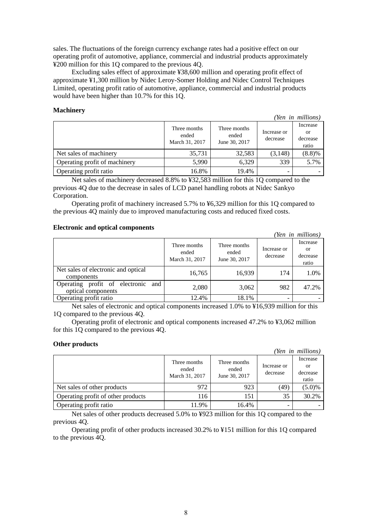sales. The fluctuations of the foreign currency exchange rates had a positive effect on our operating profit of automotive, appliance, commercial and industrial products approximately ¥200 million for this 1Q compared to the previous 4Q.

Excluding sales effect of approximate ¥38,600 million and operating profit effect of approximate ¥1,300 million by Nidec Leroy-Somer Holding and Nidec Control Techniques Limited, operating profit ratio of automotive, appliance, commercial and industrial products would have been higher than 10.7% for this 1Q.

#### **Machinery**

| - Ien in muuvist              |                                         |                                        |                         |                                     |  |  |  |
|-------------------------------|-----------------------------------------|----------------------------------------|-------------------------|-------------------------------------|--|--|--|
|                               | Three months<br>ended<br>March 31, 2017 | Three months<br>ended<br>June 30, 2017 | Increase or<br>decrease | Increase<br>or<br>decrease<br>ratio |  |  |  |
| Net sales of machinery        | 35,731                                  | 32,583                                 | (3,148)                 | (8.8)%                              |  |  |  |
| Operating profit of machinery | 5,990                                   | 6,329                                  | 339                     | 5.7%                                |  |  |  |
| Operating profit ratio        | 16.8%                                   | 19.4%                                  |                         |                                     |  |  |  |

*(Yen in millions)*

Net sales of machinery decreased 8.8% to ¥32,583 million for this 1Q compared to the previous 4Q due to the decrease in sales of LCD panel handling robots at Nidec Sankyo Corporation.

Operating profit of machinery increased 5.7% to ¥6,329 million for this 1Q compared to the previous 4Q mainly due to improved manufacturing costs and reduced fixed costs.

## **Electronic and optical components**

|                                                             |                                         |                                        |                         | (Yen in millions)                   |
|-------------------------------------------------------------|-----------------------------------------|----------------------------------------|-------------------------|-------------------------------------|
|                                                             | Three months<br>ended<br>March 31, 2017 | Three months<br>ended<br>June 30, 2017 | Increase or<br>decrease | Increase<br>or<br>decrease<br>ratio |
| Net sales of electronic and optical<br>components           | 16,765                                  | 16,939                                 | 174                     | 1.0%                                |
| and<br>Operating profit of electronic<br>optical components | 2,080                                   | 3,062                                  | 982                     | 47.2%                               |
| Operating profit ratio                                      | 12.4%                                   | 18.1%                                  |                         |                                     |

Net sales of electronic and optical components increased 1.0% to ¥16,939 million for this 1Q compared to the previous 4Q.

Operating profit of electronic and optical components increased 47.2% to ¥3,062 million for this 1Q compared to the previous 4Q.

#### **Other products**

|                                    |                                         |                                        |                         | (Yen in millions)                   |
|------------------------------------|-----------------------------------------|----------------------------------------|-------------------------|-------------------------------------|
|                                    | Three months<br>ended<br>March 31, 2017 | Three months<br>ended<br>June 30, 2017 | Increase or<br>decrease | Increase<br>or<br>decrease<br>ratio |
| Net sales of other products        | 972                                     | 923                                    | (49)                    | (5.0)%                              |
| Operating profit of other products | 116                                     | 151                                    | 35                      | 30.2%                               |
| Operating profit ratio             | 11.9%                                   | 16.4%                                  |                         |                                     |

Net sales of other products decreased 5.0% to ¥923 million for this 1Q compared to the previous 4Q.

Operating profit of other products increased 30.2% to ¥151 million for this 1Q compared to the previous 4Q.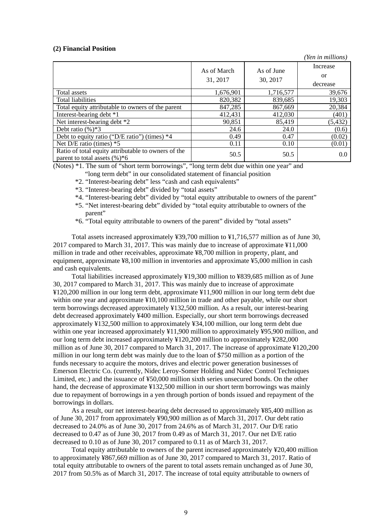#### **(2) Financial Position**

*(Yen in millions)* As of March 31, 2017 As of June 30, 2017 Increase or decrease Total assets 1,676,901 1,716,577 39,676 Total liabilities 19.303 820.382 839.685 19.303 Total equity attributable to owners of the parent  $\begin{array}{|l} \hline \end{array}$  847,285 867,669 20,384 Interest-bearing debt \*1 412,431 412,030 (401)<br>Net interest-bearing debt \*2 90,851 85,419 (5,432) Net interest-bearing debt \*2 90,851 85,419 (5,432) Debt ratio  $\frac{6}{5}$   $\frac{8}{5}$   $\frac{24.6}{24.0}$   $\frac{24.0}{24.0}$   $\frac{24.0}{24.0}$   $\frac{60.6}{24.0}$ Debt to equity ratio ("D/E ratio") (times) \*4 0.49 0.47 (0.02)<br>Net D/E ratio (times) \*5 0.11 0.10 (0.01) Net D/E ratio (times) \*5 0.11 0.10 Ratio of total equity attributable to owners of the Ratio of total equity attributable to owners of the  $50.5$  50.5 50.5 60.0 50.5 50.5 60.0

(Notes) \*1. The sum of "short term borrowings", "long term debt due within one year" and

- "long term debt" in our consolidated statement of financial position
- \*2. "Interest-bearing debt" less "cash and cash equivalents"
- \*3. "Interest-bearing debt" divided by "total assets"
- \*4. "Interest-bearing debt" divided by "total equity attributable to owners of the parent"
- \*5. "Net interest-bearing debt" divided by "total equity attributable to owners of the parent"
- \*6. "Total equity attributable to owners of the parent" divided by "total assets"

Total assets increased approximately ¥39,700 million to ¥1,716,577 million as of June 30, 2017 compared to March 31, 2017. This was mainly due to increase of approximate ¥11,000 million in trade and other receivables, approximate ¥8,700 million in property, plant, and equipment, approximate ¥8,100 million in inventories and approximate ¥5,000 million in cash and cash equivalents.

Total liabilities increased approximately ¥19,300 million to ¥839,685 million as of June 30, 2017 compared to March 31, 2017. This was mainly due to increase of approximate ¥120,200 million in our long term debt, approximate ¥11,900 million in our long term debt due within one year and approximate ¥10,100 million in trade and other payable, while our short term borrowings decreased approximately ¥132,500 million. As a result, our interest-bearing debt decreased approximately ¥400 million. Especially, our short term borrowings decreased approximately ¥132,500 million to approximately ¥34,100 million, our long term debt due within one year increased approximately ¥11,900 million to approximately ¥95,900 million, and our long term debt increased approximately ¥120,200 million to approximately ¥282,000 million as of June 30, 2017 compared to March 31, 2017. The increase of approximate ¥120,200 million in our long term debt was mainly due to the loan of \$750 million as a portion of the funds necessary to acquire the motors, drives and electric power generation businesses of Emerson Electric Co. (currently, Nidec Leroy-Somer Holding and Nidec Control Techniques Limited, etc.) and the issuance of ¥50,000 million sixth series unsecured bonds. On the other hand, the decrease of approximate ¥132,500 million in our short term borrowings was mainly due to repayment of borrowings in a yen through portion of bonds issued and repayment of the borrowings in dollars.

As a result, our net interest-bearing debt decreased to approximately ¥85,400 million as of June 30, 2017 from approximately ¥90,900 million as of March 31, 2017. Our debt ratio decreased to 24.0% as of June 30, 2017 from 24.6% as of March 31, 2017. Our D/E ratio decreased to 0.47 as of June 30, 2017 from 0.49 as of March 31, 2017. Our net D/E ratio decreased to 0.10 as of June 30, 2017 compared to 0.11 as of March 31, 2017.

Total equity attributable to owners of the parent increased approximately ¥20,400 million to approximately ¥867,669 million as of June 30, 2017 compared to March 31, 2017. Ratio of total equity attributable to owners of the parent to total assets remain unchanged as of June 30, 2017 from 50.5% as of March 31, 2017. The increase of total equity attributable to owners of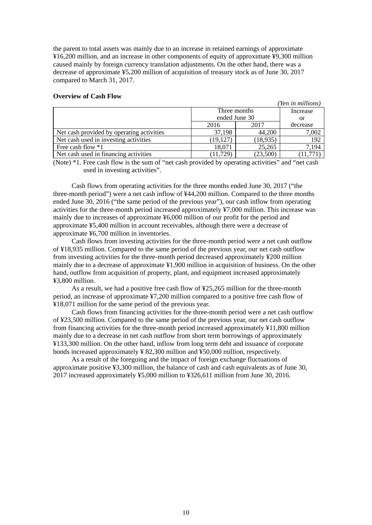the parent to total assets was mainly due to an increase in retained earnings of approximate ¥16,200 million, and an increase in other components of equity of approximate ¥9,300 million caused mainly by foreign currency translation adjustments. On the other hand, there was a decrease of approximate ¥5,200 million of acquisition of treasury stock as of June 30, 2017 compared to March 31, 2017.

#### **Overview of Cash Flow**

|                                           |               |           | <i>ren in millions</i> |
|-------------------------------------------|---------------|-----------|------------------------|
|                                           | Three months  | Increase  |                        |
|                                           | ended June 30 | or        |                        |
|                                           | 2016          | 2017      | decrease               |
| Net cash provided by operating activities | 37.198        | 44,200    | 7,002                  |
| Net cash used in investing activities     | (19, 127)     | (18, 935) | 192                    |
| Free cash flow $*1$                       | 18,071        | 25,265    | 7,194                  |
| Net cash used in financing activities     | (11, 729)     | (23,500)  |                        |

 $\cdots$ 

(Note) \*1. Free cash flow is the sum of "net cash provided by operating activities" and "net cash used in investing activities".

Cash flows from operating activities for the three months ended June 30, 2017 ("the three-month period") were a net cash inflow of ¥44,200 million. Compared to the three months ended June 30, 2016 ("the same period of the previous year"), our cash inflow from operating activities for the three-month period increased approximately ¥7,000 million. This increase was mainly due to increases of approximate ¥6,000 million of our profit for the period and approximate ¥5,400 million in account receivables, although there were a decrease of approximate ¥6,700 million in inventories.

Cash flows from investing activities for the three-month period were a net cash outflow of ¥18,935 million. Compared to the same period of the previous year, our net cash outflow from investing activities for the three-month period decreased approximately ¥200 million mainly due to a decrease of approximate ¥1,900 million in acquisition of business. On the other hand, outflow from acquisition of property, plant, and equipment increased approximately ¥3,800 million.

As a result, we had a positive free cash flow of ¥25,265 million for the three-month period, an increase of approximate ¥7,200 million compared to a positive free cash flow of ¥18,071 million for the same period of the previous year.

Cash flows from financing activities for the three-month period were a net cash outflow of ¥23,500 million. Compared to the same period of the previous year, our net cash outflow from financing activities for the three-month period increased approximately ¥11,800 million mainly due to a decrease in net cash outflow from short term borrowings of approximately ¥133,300 million. On the other hand, inflow from long term debt and issuance of corporate bonds increased approximately ¥ 82,300 million and ¥50,000 million, respectively.

As a result of the foregoing and the impact of foreign exchange fluctuations of approximate positive ¥3,300 million, the balance of cash and cash equivalents as of June 30, 2017 increased approximately ¥5,000 million to ¥326,611 million from June 30, 2016.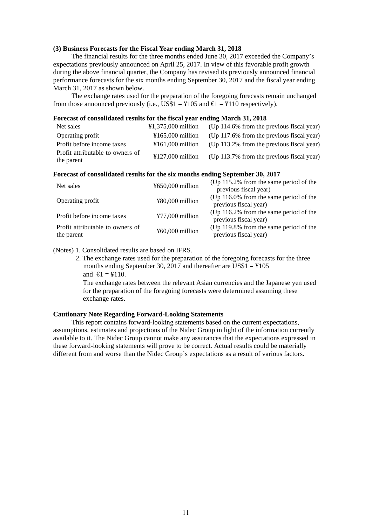#### **(3) Business Forecasts for the Fiscal Year ending March 31, 2018**

The financial results for the three months ended June 30, 2017 exceeded the Company's expectations previously announced on April 25, 2017. In view of this favorable profit growth during the above financial quarter, the Company has revised its previously announced financial performance forecasts for the six months ending September 30, 2017 and the fiscal year ending March 31, 2017 as shown below.

The exchange rates used for the preparation of the foregoing forecasts remain unchanged from those announced previously (i.e., US\$1 =  $\text{\textless}105$  and  $\text{\textless}1 = \text{\textless}110$  respectively).

#### **Forecast of consolidated results for the fiscal year ending March 31, 2018**

| Net sales                                      | $\text{\textsterling}1.375.000$ million | (Up 114.6% from the previous fiscal year)    |
|------------------------------------------------|-----------------------------------------|----------------------------------------------|
| Operating profit                               | $\text{\textsterling}165.000$ million   | (Up 117.6% from the previous fiscal year)    |
| Profit before income taxes                     | $\text{\textsterling}161.000$ million   | (Up $113.2\%$ from the previous fiscal year) |
| Profit attributable to owners of<br>the parent | $\text{\textsterling}127,000$ million   | (Up 113.7% from the previous fiscal year)    |

## **Forecast of consolidated results for the six months ending September 30, 2017**

| Net sales                                      | ¥650,000 million  | (Up $115.2\%$ from the same period of the<br>previous fiscal year) |
|------------------------------------------------|-------------------|--------------------------------------------------------------------|
| Operating profit                               | ¥80,000 million   | (Up $116.0\%$ from the same period of the<br>previous fiscal year) |
| Profit before income taxes                     | $477,000$ million | (Up $116.2\%$ from the same period of the<br>previous fiscal year) |
| Profit attributable to owners of<br>the parent | ¥60,000 million   | (Up 119.8% from the same period of the<br>previous fiscal year)    |

(Notes) 1. Consolidated results are based on IFRS.

2. The exchange rates used for the preparation of the foregoing forecasts for the three months ending September 30, 2017 and thereafter are US\$1 =  $\text{\textless}105$ and  $\epsilon$ 1 = ¥110. The exchange rates between the relevant Asian currencies and the Japanese yen used

for the preparation of the foregoing forecasts were determined assuming these exchange rates.

#### **Cautionary Note Regarding Forward-Looking Statements**

This report contains forward-looking statements based on the current expectations, assumptions, estimates and projections of the Nidec Group in light of the information currently available to it. The Nidec Group cannot make any assurances that the expectations expressed in these forward-looking statements will prove to be correct. Actual results could be materially different from and worse than the Nidec Group's expectations as a result of various factors.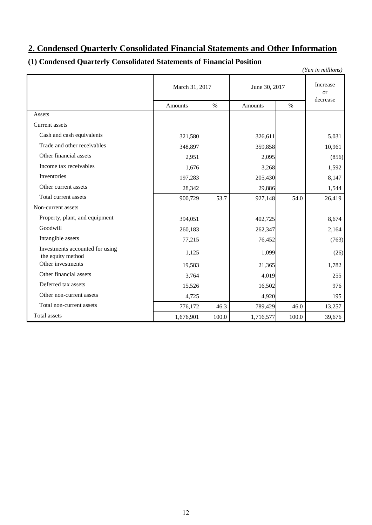# **2. Condensed Quarterly Consolidated Financial Statements and Other Information**

# **(1) Condensed Quarterly Consolidated Statements of Financial Position**

|                                                      |                |       |                        |       | (Yen in millions)     |  |
|------------------------------------------------------|----------------|-------|------------------------|-------|-----------------------|--|
|                                                      | March 31, 2017 |       | June 30, 2017          |       | Increase<br><b>or</b> |  |
|                                                      | <b>Amounts</b> | $\%$  | $\%$<br><b>Amounts</b> |       | decrease              |  |
| Assets                                               |                |       |                        |       |                       |  |
| Current assets                                       |                |       |                        |       |                       |  |
| Cash and cash equivalents                            | 321,580        |       | 326,611                |       | 5,031                 |  |
| Trade and other receivables                          | 348,897        |       | 359,858                |       | 10,961                |  |
| Other financial assets                               | 2,951          |       | 2,095                  |       | (856)                 |  |
| Income tax receivables                               | 1,676          |       | 3,268                  |       | 1,592                 |  |
| Inventories                                          | 197,283        |       | 205,430                |       | 8,147                 |  |
| Other current assets                                 | 28,342         |       | 29,886                 |       | 1,544                 |  |
| Total current assets                                 | 900,729        | 53.7  | 927,148                | 54.0  | 26,419                |  |
| Non-current assets                                   |                |       |                        |       |                       |  |
| Property, plant, and equipment                       | 394,051        |       | 402,725                |       | 8,674                 |  |
| Goodwill                                             | 260,183        |       | 262,347                |       | 2,164                 |  |
| Intangible assets                                    | 77,215         |       | 76,452                 |       | (763)                 |  |
| Investments accounted for using<br>the equity method | 1,125          |       | 1,099                  |       | (26)                  |  |
| Other investments                                    | 19,583         |       | 21,365                 |       | 1,782                 |  |
| Other financial assets                               | 3,764          |       | 4,019                  |       | 255                   |  |
| Deferred tax assets                                  | 15,526         |       | 16,502                 |       | 976                   |  |
| Other non-current assets                             | 4,725          |       | 4,920                  |       | 195                   |  |
| Total non-current assets                             | 776,172        | 46.3  | 789,429                | 46.0  | 13,257                |  |
| <b>Total</b> assets                                  | 1,676,901      | 100.0 | 1,716,577              | 100.0 | 39,676                |  |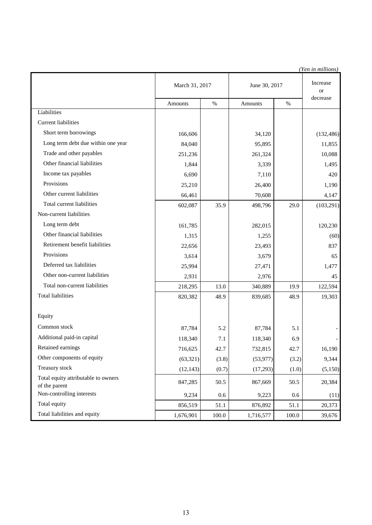|                                                      |                |       |               |       | (Yen in millions)     |
|------------------------------------------------------|----------------|-------|---------------|-------|-----------------------|
|                                                      | March 31, 2017 |       | June 30, 2017 |       | Increase<br><b>or</b> |
|                                                      | Amounts        | $\%$  | Amounts       | $\%$  | decrease              |
| Liabilities                                          |                |       |               |       |                       |
| <b>Current liabilities</b>                           |                |       |               |       |                       |
| Short term borrowings                                | 166,606        |       | 34,120        |       | (132, 486)            |
| Long term debt due within one year                   | 84,040         |       | 95,895        |       | 11,855                |
| Trade and other payables                             | 251,236        |       | 261,324       |       | 10,088                |
| Other financial liabilities                          | 1,844          |       | 3,339         |       | 1,495                 |
| Income tax payables                                  | 6,690          |       | 7,110         |       | 420                   |
| Provisions                                           | 25,210         |       | 26,400        |       | 1,190                 |
| Other current liabilities                            | 66,461         |       | 70,608        |       | 4,147                 |
| Total current liabilities                            | 602,087        | 35.9  | 498,796       | 29.0  | (103, 291)            |
| Non-current liabilities                              |                |       |               |       |                       |
| Long term debt                                       | 161,785        |       | 282,015       |       | 120,230               |
| Other financial liabilities                          | 1,315          |       | 1,255         |       | (60)                  |
| Retirement benefit liabilities                       | 22,656         |       | 23,493        |       | 837                   |
| Provisions                                           | 3,614          |       | 3,679         |       | 65                    |
| Deferred tax liabilities                             | 25,994         |       | 27,471        |       | 1,477                 |
| Other non-current liabilities                        | 2,931          |       | 2,976         |       | 45                    |
| Total non-current liabilities                        | 218,295        | 13.0  | 340,889       | 19.9  | 122,594               |
| <b>Total liabilities</b>                             | 820,382        | 48.9  | 839,685       | 48.9  | 19,303                |
| Equity                                               |                |       |               |       |                       |
| Common stock                                         | 87,784         | 5.2   | 87,784        | 5.1   |                       |
| Additional paid-in capital                           | 118,340        | 7.1   | 118,340       | 6.9   |                       |
| Retained earnings                                    | 716,625        | 42.7  | 732,815       | 42.7  | 16,190                |
| Other components of equity                           | (63, 321)      | (3.8) | (53, 977)     | (3.2) | 9,344                 |
| Treasury stock                                       | (12, 143)      | (0.7) | (17,293)      | (1.0) | (5,150)               |
| Total equity attributable to owners<br>of the parent | 847,285        | 50.5  | 867,669       | 50.5  | 20,384                |
| Non-controlling interests                            | 9,234          | 0.6   | 9,223         | 0.6   | (11)                  |
| Total equity                                         | 856,519        | 51.1  | 876,892       | 51.1  | 20,373                |
| Total liabilities and equity                         | 1,676,901      | 100.0 | 1,716,577     | 100.0 | 39,676                |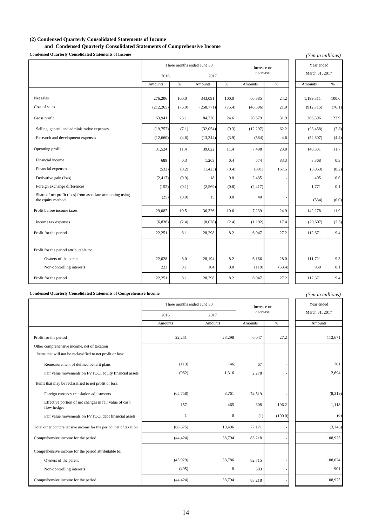## **(2) Condensed Quarterly Consolidated Statements of Income**

## **and Condensed Quarterly Consolidated Statements of Comprehensive Income**

**Condensed Quarterly Consolidated Statements of Income**

| <b>Condensed Quarterly Consolidated Statements of Income</b>                    |            |         |                            |        |             |        | (Yen in millions) |         |
|---------------------------------------------------------------------------------|------------|---------|----------------------------|--------|-------------|--------|-------------------|---------|
|                                                                                 |            |         | Three months ended June 30 |        | Increase or |        | Year ended        |         |
|                                                                                 | 2016       |         | 2017                       |        | decrease    |        | March 31, 2017    |         |
|                                                                                 | Amounts    | $\%$    | Amounts                    | $\%$   | Amounts     | $\%$   | Amounts           | $\%$    |
|                                                                                 |            |         |                            |        |             |        |                   |         |
| Net sales                                                                       | 276,206    | 100.0   | 343,091                    | 100.0  | 66,885      | 24.2   | 1,199,311         | 100.0   |
| Cost of sales                                                                   | (212, 265) | (76.9)  | (258, 771)                 | (75.4) | (46, 506)   | 21.9   | (912, 715)        | (76.1)  |
| Gross profit                                                                    | 63,941     | 23.1    | 84,320                     | 24.6   | 20,379      | 31.9   | 286,596           | 23.9    |
| Selling, general and administrative expenses                                    | (19, 757)  | (7.1)   | (32,054)                   | (9.3)  | (12, 297)   | 62.2   | (93, 458)         | (7.8)   |
| Research and development expenses                                               | (12,660)   | (4.6)   | (13, 244)                  | (3.9)  | (584)       | 4.6    | (52, 807)         | (4.4)   |
| Operating profit                                                                | 31,524     | 11.4    | 39,022                     | 11.4   | 7,498       | 23.8   | 140,331           | 11.7    |
| Financial income                                                                | 689        | 0.3     | 1,263                      | 0.4    | 574         | 83.3   | 3,368             | 0.3     |
| Financial expenses                                                              | (532)      | (0.2)   | (1, 423)                   | (0.4)  | (891)       | 167.5  | (3,063)           | (0.2)   |
| Derivative gain (loss)                                                          | (2, 417)   | (0.9)   | 18                         | 0.0    | 2,435       |        | 405               | $0.0\,$ |
| Foreign exchange differences                                                    | (152)      | (0.1)   | (2, 569)                   | (0.8)  | (2, 417)    |        | 1,771             | 0.1     |
| Share of net profit (loss) from associate accounting using<br>the equity method | (25)       | (0.0)   | 15                         | 0.0    | 40          |        | (534)             | (0.0)   |
| Profit before income taxes                                                      | 29,087     | 10.5    | 36,326                     | 10.6   | 7,239       | 24.9   | 142,278           | 11.9    |
| Income tax expenses                                                             | (6, 836)   | (2.4)   | (8,028)                    | (2.4)  | (1,192)     | 17.4   | (29, 607)         | (2.5)   |
| Profit for the period                                                           | 22,251     | 8.1     | 28,298                     | 8.2    | 6,047       | 27.2   | 112,671           | 9.4     |
|                                                                                 |            |         |                            |        |             |        |                   |         |
| Profit for the period attributable to:                                          |            |         |                            |        |             |        |                   |         |
| Owners of the parent                                                            | 22,028     | $8.0\,$ | 28,194                     | 8.2    | 6,166       | 28.0   | 111,721           | 9.3     |
| Non-controlling interests                                                       | 223        | 0.1     | 104                        | 0.0    | (119)       | (53.4) | 950               | 0.1     |
| Profit for the period                                                           | 22,251     | 8.1     | 28,298                     | 8.2    | 6,047       | 27.2   | 112,671           | 9.4     |

**Condensed Quarterly Consolidated Statements of Comprehensive Income**

| <b>Condensed Quarterly Consolidated Statements of Comprehensive Income</b> |                            |                  |             |         | (Yen in millions) |
|----------------------------------------------------------------------------|----------------------------|------------------|-------------|---------|-------------------|
|                                                                            | Three months ended June 30 |                  | Increase or |         | Year ended        |
|                                                                            | 2016                       | 2017             | decrease    |         | March 31, 2017    |
|                                                                            | Amounts                    | Amounts          | Amounts     | $\%$    | Amounts           |
| Profit for the period                                                      | 22,251                     | 28,298           | 6,047       | 27.2    | 112,671           |
| Other comprehensive income, net of taxation                                |                            |                  |             |         |                   |
| Items that will not be reclassified to net profit or loss:                 |                            |                  |             |         |                   |
| Remeasurement of defined benefit plans                                     | (113)                      | (46)             | 67          |         | 761               |
| Fair value movements on FVTOCI equity financial assets                     | (962)                      | 1,316            | 2,278       |         | 2,694             |
| Items that may be reclassified to net profit or loss:                      |                            |                  |             |         |                   |
| Foreign currency translation adjustments                                   | (65,758)                   | 8,761            | 74,519      |         | (8,319)           |
| Effective portion of net changes in fair value of cash<br>flow hedges      | 157                        | 465              | 308         | 196.2   | 1,118             |
| Fair value movements on FVTOCI debt financial assets                       |                            | $\boldsymbol{0}$ | (1)         | (100.0) | (0)               |
| Total other comprehensive income for the period, net of taxation           | (66, 675)                  | 10,496           | 77,171      |         | (3,746)           |
| Comprehensive income for the period                                        | (44, 424)                  | 38,794           | 83,218      |         | 108,925           |
| Comprehensive income for the period attributable to:                       |                            |                  |             |         |                   |
| Owners of the parent                                                       | (43,929)                   | 38,786           | 82,715      |         | 108,024           |
| Non-controlling interests                                                  | (495)                      | 8                | 503         |         | 901               |
| Comprehensive income for the period                                        | (44, 424)                  | 38,794           | 83,218      |         | 108,925           |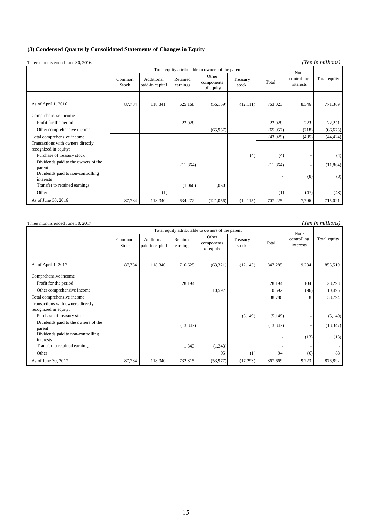## **(3) Condensed Quarterly Consolidated Statements of Changes in Equity**

Three months ended June 30, 2016

*(Yen in millions)*

|                                                | Total equity attributable to owners of the parent |                               |                      |                                  |                   |           | Non-                     |                |
|------------------------------------------------|---------------------------------------------------|-------------------------------|----------------------|----------------------------------|-------------------|-----------|--------------------------|----------------|
|                                                | Common<br>Stock                                   | Additional<br>paid-in capital | Retained<br>earnings | Other<br>components<br>of equity | Treasury<br>stock | Total     | controlling<br>interests | Total equity   |
| As of April 1, 2016                            | 87,784                                            | 118,341                       | 625,168              | (56, 159)                        | (12,111)          | 763,023   | 8,346                    | 771,369        |
| Comprehensive income                           |                                                   |                               |                      |                                  |                   |           |                          |                |
| Profit for the period                          |                                                   |                               | 22,028               |                                  |                   | 22,028    | 223                      | 22,251         |
| Other comprehensive income                     |                                                   |                               |                      | (65,957)                         |                   | (65, 957) | (718)                    | (66, 675)      |
| Total comprehensive income                     |                                                   |                               |                      |                                  |                   | (43,929)  | (495)                    | (44, 424)      |
| Transactions with owners directly              |                                                   |                               |                      |                                  |                   |           |                          |                |
| recognized in equity:                          |                                                   |                               |                      |                                  |                   |           |                          |                |
| Purchase of treasury stock                     |                                                   |                               |                      |                                  | (4)               | (4)       |                          | (4)            |
| Dividends paid to the owners of the<br>parent  |                                                   |                               | (11, 864)            |                                  |                   | (11, 864) |                          | (11, 864)      |
| Dividends paid to non-controlling<br>interests |                                                   |                               |                      |                                  |                   |           | (8)                      | (8)            |
| Transfer to retained earnings                  |                                                   |                               | (1,060)              | 1,060                            |                   |           |                          | $\blacksquare$ |
| Other                                          |                                                   | (1)                           |                      |                                  |                   | (1)       | (47)                     | (48)           |
| As of June 30, 2016                            | 87,784                                            | 118,340                       | 634,272              | (121,056)                        | (12, 115)         | 707,225   | 7,796                    | 715,021        |

| (Yen in millions)<br>Three months ended June 30, 2017      |                                                   |                               |                      |                                  |                   |           |                          |              |
|------------------------------------------------------------|---------------------------------------------------|-------------------------------|----------------------|----------------------------------|-------------------|-----------|--------------------------|--------------|
|                                                            | Total equity attributable to owners of the parent |                               |                      |                                  |                   |           | Non-                     |              |
|                                                            | Common<br><b>Stock</b>                            | Additional<br>paid-in capital | Retained<br>earnings | Other<br>components<br>of equity | Treasury<br>stock | Total     | controlling<br>interests | Total equity |
| As of April 1, 2017                                        | 87,784                                            | 118,340                       | 716,625              | (63,321)                         | (12, 143)         | 847,285   | 9,234                    | 856,519      |
| Comprehensive income                                       |                                                   |                               |                      |                                  |                   |           |                          |              |
| Profit for the period                                      |                                                   |                               | 28,194               |                                  |                   | 28,194    | 104                      | 28,298       |
| Other comprehensive income                                 |                                                   |                               |                      | 10,592                           |                   | 10,592    | (96)                     | 10,496       |
| Total comprehensive income                                 |                                                   |                               |                      |                                  |                   | 38,786    | 8                        | 38,794       |
| Transactions with owners directly<br>recognized in equity: |                                                   |                               |                      |                                  |                   |           |                          |              |
| Purchase of treasury stock                                 |                                                   |                               |                      |                                  | (5, 149)          | (5, 149)  |                          | (5,149)      |
| Dividends paid to the owners of the<br>parent              |                                                   |                               | (13, 347)            |                                  |                   | (13, 347) |                          | (13, 347)    |
| Dividends paid to non-controlling<br>interests             |                                                   |                               |                      |                                  |                   |           | (13)                     | (13)         |
| Transfer to retained earnings                              |                                                   |                               | 1,343                | (1, 343)                         |                   |           |                          |              |
| Other                                                      |                                                   |                               |                      | 95                               | (1)               | 94        | (6)                      | 88           |
| As of June 30, 2017                                        | 87,784                                            | 118,340                       | 732,815              | (53, 977)                        | (17,293)          | 867,669   | 9,223                    | 876,892      |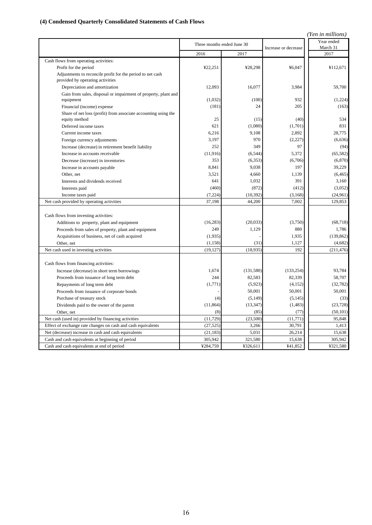## **(4) Condensed Quarterly Consolidated Statements of Cash Flows**

| (Yen in millions)                                                                                                    |                            |            |                      |                        |  |
|----------------------------------------------------------------------------------------------------------------------|----------------------------|------------|----------------------|------------------------|--|
|                                                                                                                      | Three months ended June 30 |            | Increase or decrease | Year ended<br>March 31 |  |
|                                                                                                                      | 2016                       | 2017       |                      | 2017                   |  |
| Cash flows from operating activities:                                                                                |                            |            |                      |                        |  |
| Profit for the period                                                                                                | ¥22,251                    | ¥28,298    | ¥6.047               | ¥112,671               |  |
| Adjustments to reconcile profit for the period to net cash<br>provided by operating activities                       |                            |            |                      |                        |  |
| Depreciation and amortization                                                                                        | 12,093                     | 16,077     | 3,984                | 59.700                 |  |
| Gain from sales, disposal or impairment of property, plant and                                                       |                            |            |                      |                        |  |
| equipment                                                                                                            | (1,032)                    | (100)      | 932                  | (1,224)                |  |
| Financial (income) expense                                                                                           | (181)                      | 24         | 205                  | (163)                  |  |
| Share of net loss (profit) from associate accounting using the                                                       |                            |            |                      |                        |  |
| equity method                                                                                                        | 25                         | (15)       | (40)                 | 534                    |  |
| Deferred income taxes                                                                                                | 621                        | (1,080)    | (1,701)              | 831                    |  |
| Current income taxes                                                                                                 | 6,216                      | 9,108      | 2,892                | 28,775                 |  |
| Foreign currency adjustments                                                                                         | 3.197                      | 970        | (2,227)              | (6,636)                |  |
| Increase (decrease) in retirement benefit liability                                                                  | 252                        | 349        | 97                   | (94)                   |  |
| Increase in accounts receivable                                                                                      | (11, 916)                  | (6, 544)   | 5,372                | (65, 582)              |  |
| Decrease (increase) in inventories                                                                                   | 353                        | (6, 353)   | (6,706)              | (6,870)                |  |
| Increase in accounts payable                                                                                         | 8,841                      | 9,038      | 197                  | 39,229                 |  |
| Other, net                                                                                                           | 3,521                      | 4,660      | 1,139                | (6, 465)               |  |
| Interests and dividends received                                                                                     | 641                        | 1,032      | 391                  | 3,160                  |  |
| Interests paid                                                                                                       | (460)                      | (872)      | (412)                | (3,052)                |  |
| Income taxes paid                                                                                                    | (7, 224)                   | (10, 392)  | (3, 168)             | (24,961)               |  |
| Net cash provided by operating activities                                                                            | 37,198                     | 44,200     | 7.002                | 129,853                |  |
| Cash flows from investing activities:                                                                                |                            |            |                      |                        |  |
| Additions to property, plant and equipment                                                                           | (16, 283)                  | (20.033)   | (3,750)              | (68, 718)              |  |
| Proceeds from sales of property, plant and equipment                                                                 | 249                        | 1,129      | 880                  | 1,786                  |  |
| Acquisitions of business, net of cash acquired                                                                       | (1,935)                    |            | 1,935                | (139, 862)             |  |
| Other, net                                                                                                           | (1, 158)                   | (31)       | 1,127                | (4,682)                |  |
| Net cash used in investing activities                                                                                | (19, 127)                  | (18, 935)  | 192                  | (211, 476)             |  |
| Cash flows from financing activities:                                                                                |                            |            |                      |                        |  |
| Increase (decrease) in short term borrowings                                                                         | 1,674                      | (131, 580) | (133, 254)           | 93,784                 |  |
| Proceeds from issuance of long term debt                                                                             | 244                        | 82,583     | 82,339               | 58,707                 |  |
| Repayments of long term debt                                                                                         | (1,771)                    | (5,923)    | (4, 152)             | (32, 782)              |  |
| Proceeds from issuance of corporate bonds                                                                            |                            | 50,001     | 50,001               | 50,001                 |  |
| Purchase of treasury stock                                                                                           | (4)                        | (5, 149)   | (5, 145)             | (33)                   |  |
| Dividends paid to the owner of the parent                                                                            | (11, 864)                  | (13, 347)  | (1, 483)             | (23, 728)              |  |
| Other, net                                                                                                           | (8)                        | (85)       | (77)                 | (50, 101)              |  |
| Net cash (used in) provided by financing activities                                                                  | (11, 729)                  | (23,500)   | (11, 771)            | 95,848                 |  |
|                                                                                                                      | (27, 525)                  | 3,266      | 30,791               | 1,413                  |  |
| Effect of exchange rate changes on cash and cash equivalents<br>Net (decrease) increase in cash and cash equivalents | (21, 183)                  | 5,031      | 26,214               | 15,638                 |  |
|                                                                                                                      | 305,942                    | 321,580    | 15,638               | 305,942                |  |
| Cash and cash equivalents at beginning of period<br>Cash and cash equivalents at end of period                       | ¥284,759                   | ¥326,611   | ¥41,852              | ¥321,580               |  |
|                                                                                                                      |                            |            |                      |                        |  |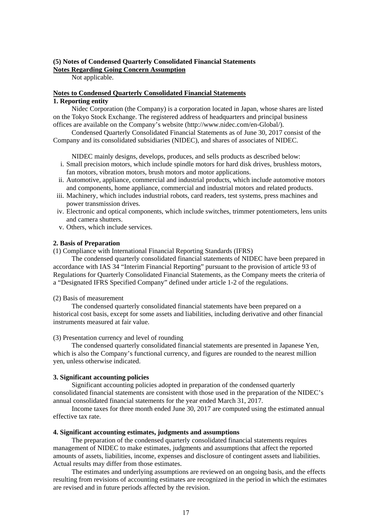#### **(5) Notes of Condensed Quarterly Consolidated Financial Statements Notes Regarding Going Concern Assumption**

Not applicable.

## **Notes to Condensed Quarterly Consolidated Financial Statements 1. Reporting entity**

Nidec Corporation (the Company) is a corporation located in Japan, whose shares are listed on the Tokyo Stock Exchange. The registered address of headquarters and principal business offices are available on the Company's website (http://www.nidec.com/en-Global/).

Condensed Quarterly Consolidated Financial Statements as of June 30, 2017 consist of the Company and its consolidated subsidiaries (NIDEC), and shares of associates of NIDEC.

NIDEC mainly designs, develops, produces, and sells products as described below:

- i. Small precision motors, which include spindle motors for hard disk drives, brushless motors, fan motors, vibration motors, brush motors and motor applications.
- ii. Automotive, appliance, commercial and industrial products, which include automotive motors and components, home appliance, commercial and industrial motors and related products.
- iii. Machinery, which includes industrial robots, card readers, test systems, press machines and power transmission drives.
- iv. Electronic and optical components, which include switches, trimmer potentiometers, lens units and camera shutters.
- v. Others, which include services.

## **2. Basis of Preparation**

(1) Compliance with International Financial Reporting Standards (IFRS)

The condensed quarterly consolidated financial statements of NIDEC have been prepared in accordance with IAS 34 "Interim Financial Reporting" pursuant to the provision of article 93 of Regulations for Quarterly Consolidated Financial Statements, as the Company meets the criteria of a "Designated IFRS Specified Company" defined under article 1-2 of the regulations.

#### (2) Basis of measurement

The condensed quarterly consolidated financial statements have been prepared on a historical cost basis, except for some assets and liabilities, including derivative and other financial instruments measured at fair value.

#### (3) Presentation currency and level of rounding

The condensed quarterly consolidated financial statements are presented in Japanese Yen, which is also the Company's functional currency, and figures are rounded to the nearest million yen, unless otherwise indicated.

## **3. Significant accounting policies**

Significant accounting policies adopted in preparation of the condensed quarterly consolidated financial statements are consistent with those used in the preparation of the NIDEC's annual consolidated financial statements for the year ended March 31, 2017.

Income taxes for three month ended June 30, 2017 are computed using the estimated annual effective tax rate.

#### **4. Significant accounting estimates, judgments and assumptions**

The preparation of the condensed quarterly consolidated financial statements requires management of NIDEC to make estimates, judgments and assumptions that affect the reported amounts of assets, liabilities, income, expenses and disclosure of contingent assets and liabilities. Actual results may differ from those estimates.

The estimates and underlying assumptions are reviewed on an ongoing basis, and the effects resulting from revisions of accounting estimates are recognized in the period in which the estimates are revised and in future periods affected by the revision.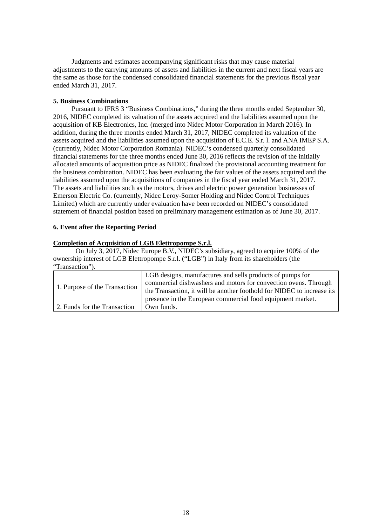Judgments and estimates accompanying significant risks that may cause material adjustments to the carrying amounts of assets and liabilities in the current and next fiscal years are the same as those for the condensed consolidated financial statements for the previous fiscal year ended March 31, 2017.

### **5. Business Combinations**

Pursuant to IFRS 3 "Business Combinations," during the three months ended September 30, 2016, NIDEC completed its valuation of the assets acquired and the liabilities assumed upon the acquisition of KB Electronics, Inc. (merged into Nidec Motor Corporation in March 2016). In addition, during the three months ended March 31, 2017, NIDEC completed its valuation of the assets acquired and the liabilities assumed upon the acquisition of E.C.E. S.r. l. and ANA IMEP S.A. (currently, Nidec Motor Corporation Romania). NIDEC's condensed quarterly consolidated financial statements for the three months ended June 30, 2016 reflects the revision of the initially allocated amounts of acquisition price as NIDEC finalized the provisional accounting treatment for the business combination. NIDEC has been evaluating the fair values of the assets acquired and the liabilities assumed upon the acquisitions of companies in the fiscal year ended March 31, 2017. The assets and liabilities such as the motors, drives and electric power generation businesses of Emerson Electric Co. (currently, Nidec Leroy-Somer Holding and Nidec Control Techniques Limited) which are currently under evaluation have been recorded on NIDEC's consolidated statement of financial position based on preliminary management estimation as of June 30, 2017.

## **6. Event after the Reporting Period**

## **Completion of Acquisition of LGB Elettropompe S.r.l.**

On July 3, 2017, Nidec Europe B.V., NIDEC's subsidiary, agreed to acquire 100% of the ownership interest of LGB Elettropompe S.r.l. ("LGB") in Italy from its shareholders (the "Transaction").

| 1. Purpose of the Transaction | LGB designs, manufactures and sells products of pumps for<br>commercial dishwashers and motors for convection ovens. Through<br>the Transaction, it will be another foothold for NIDEC to increase its<br>presence in the European commercial food equipment market. |
|-------------------------------|----------------------------------------------------------------------------------------------------------------------------------------------------------------------------------------------------------------------------------------------------------------------|
| 2. Funds for the Transaction  | Own funds.                                                                                                                                                                                                                                                           |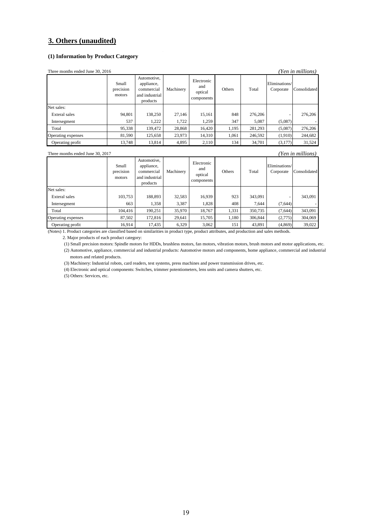## **3. Others (unaudited)**

#### **(1) Information by Product Category**

| (Yen in millions)<br>Three months ended June 30, 2016 |                              |                                                                       |           |                                            |        |         |                            |              |
|-------------------------------------------------------|------------------------------|-----------------------------------------------------------------------|-----------|--------------------------------------------|--------|---------|----------------------------|--------------|
|                                                       | Small<br>precision<br>motors | Automotive,<br>appliance,<br>commercial<br>and industrial<br>products | Machinery | Electronic<br>and<br>optical<br>components | Others | Total   | Eliminations/<br>Corporate | Consolidated |
| Net sales:                                            |                              |                                                                       |           |                                            |        |         |                            |              |
| Exteral sales                                         | 94.801                       | 138.250                                                               | 27.146    | 15,161                                     | 848    | 276,206 |                            | 276,206      |
| Intersegment                                          | 537                          | 1.222                                                                 | 1,722     | 1.259                                      | 347    | 5,087   | (5,087)                    |              |
| Total                                                 | 95,338                       | 139,472                                                               | 28,868    | 16.420                                     | 1,195  | 281,293 | (5,087)                    | 276,206      |
| Operating expenses                                    | 81,590                       | 125,658                                                               | 23,973    | 14,310                                     | 1,061  | 246,592 | (1,910)                    | 244,682      |
| Operating profit                                      | 13.748                       | 13,814                                                                | 4,895     | 2.110                                      | 134    | 34,701  | (3,177)                    | 31,524       |

Three months ended June 30, 2017 *(Yen in millions)*

| $1.000$ months chaca sance so, 2017<br>- 1 Ch <i>ar and the contro</i> |                              |                                                                       |           |                                            |        |         |                            |              |
|------------------------------------------------------------------------|------------------------------|-----------------------------------------------------------------------|-----------|--------------------------------------------|--------|---------|----------------------------|--------------|
|                                                                        | Small<br>precision<br>motors | Automotive,<br>appliance,<br>commercial<br>and industrial<br>products | Machinery | Electronic<br>and<br>optical<br>components | Others | Total   | Eliminations/<br>Corporate | Consolidated |
| Net sales:                                                             |                              |                                                                       |           |                                            |        |         |                            |              |
| Exteral sales                                                          | 103,753                      | 188,893                                                               | 32,583    | 16,939                                     | 923    | 343,091 |                            | 343,091      |
| Intersegment                                                           | 663                          | 1,358                                                                 | 3,387     | 1,828                                      | 408    | 7,644   | (7,644)                    |              |
| Total                                                                  | 104.416                      | 190,251                                                               | 35,970    | 18,767                                     | 1,331  | 350,735 | (7,644)                    | 343,091      |
| Operating expenses                                                     | 87,502                       | 172,816                                                               | 29.641    | 15,705                                     | 1.180  | 306,844 | (2,775)                    | 304,069      |
| Operating profit                                                       | 16,914                       | 17,435                                                                | 6,329     | 3,062                                      | 151    | 43,891  | (4, 869)                   | 39,022       |
|                                                                        |                              |                                                                       |           |                                            |        |         |                            |              |

(Notes) 1. Product categories are classified based on similarities in product type, product attributes, and production and sales methods.

2. Major products of each product category:

(1) Small precision motors: Spindle motors for HDDs, brushless motors, fan motors, vibration motors, brush motors and motor applications, etc.

(2) Automotive, appliance, commercial and industrial products: Automotive motors and components, home appliance, commercial and industrial motors and related products.

(3) Machinery: Industrial robots, card readers, test systems, press machines and power transmission drives, etc.

(4) Electronic and optical components: Switches, trimmer potentiometers, lens units and camera shutters, etc.

(5) Others: Services, etc.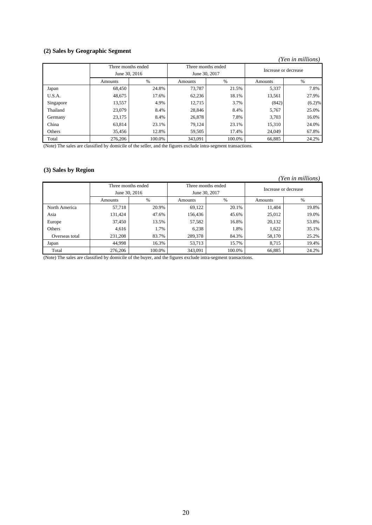## **(2) Sales by Geographic Segment**

#### *(Yen in millions)*

|           | Three months ended |        |               | Three months ended |         | Increase or decrease |  |
|-----------|--------------------|--------|---------------|--------------------|---------|----------------------|--|
|           | June 30, 2016      |        | June 30, 2017 |                    |         |                      |  |
|           | Amounts            | %      | Amounts       | %                  | Amounts | $\%$                 |  |
| Japan     | 68.450             | 24.8%  | 73.787        | 21.5%              | 5,337   | 7.8%                 |  |
| U.S.A.    | 48,675             | 17.6%  | 62,236        | 18.1%              | 13,561  | 27.9%                |  |
| Singapore | 13,557             | 4.9%   | 12,715        | 3.7%               | (842)   | (6.2)%               |  |
| Thailand  | 23,079             | 8.4%   | 28,846        | 8.4%               | 5,767   | 25.0%                |  |
| Germany   | 23,175             | 8.4%   | 26,878        | 7.8%               | 3,703   | 16.0%                |  |
| China     | 63,814             | 23.1%  | 79,124        | 23.1%              | 15,310  | 24.0%                |  |
| Others    | 35.456             | 12.8%  | 59.505        | 17.4%              | 24,049  | 67.8%                |  |
| Total     | 276.206            | 100.0% | 343,091       | 100.0%             | 66,885  | 24.2%                |  |

(Note) The sales are classified by domicile of the seller, and the figures exclude intra-segment transactions.

## **(3) Sales by Region**

| (Yen in millions) |                    |        |               |                    |         |                      |  |
|-------------------|--------------------|--------|---------------|--------------------|---------|----------------------|--|
|                   | Three months ended |        |               | Three months ended |         | Increase or decrease |  |
|                   | June 30, 2016      |        | June 30, 2017 |                    |         |                      |  |
|                   | Amounts            | $\%$   | Amounts       | %                  | Amounts | $\%$                 |  |
| North America     | 57,718             | 20.9%  | 69,122        | 20.1%              | 11,404  | 19.8%                |  |
| Asia              | 131,424            | 47.6%  | 156,436       | 45.6%              | 25,012  | 19.0%                |  |
| Europe            | 37,450             | 13.5%  | 57,582        | 16.8%              | 20,132  | 53.8%                |  |
| Others            | 4.616              | 1.7%   | 6,238         | 1.8%               | 1,622   | 35.1%                |  |
| Overseas total    | 231.208            | 83.7%  | 289,378       | 84.3%              | 58.170  | 25.2%                |  |
| Japan             | 44.998             | 16.3%  | 53,713        | 15.7%              | 8,715   | 19.4%                |  |
| Total             | 276,206            | 100.0% | 343,091       | 100.0%             | 66,885  | 24.2%                |  |

(Note) The sales are classified by domicile of the buyer, and the figures exclude intra-segment transactions.